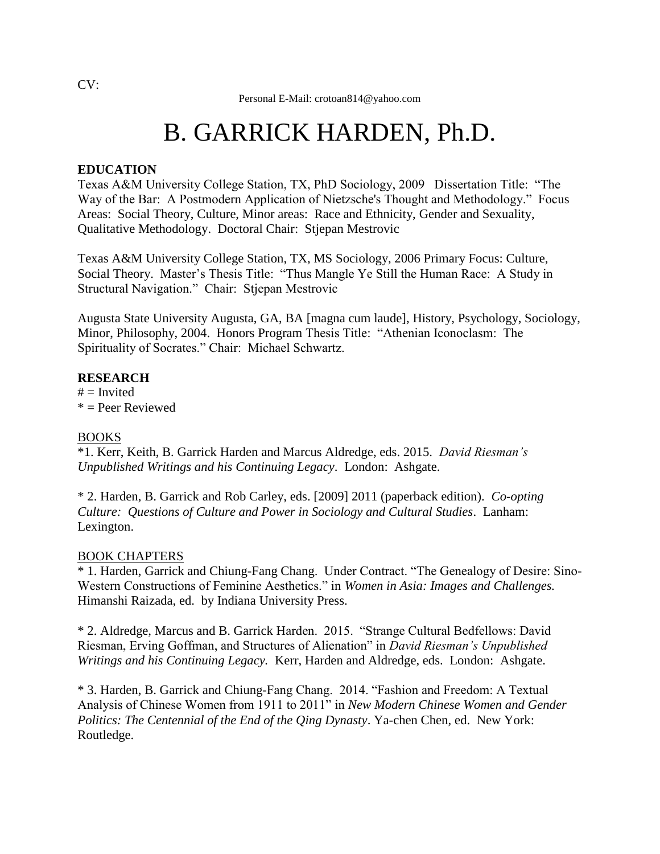# B. GARRICK HARDEN, Ph.D.

# **EDUCATION**

Texas A&M University College Station, TX, PhD Sociology, 2009 Dissertation Title: "The Way of the Bar: A Postmodern Application of Nietzsche's Thought and Methodology." Focus Areas: Social Theory, Culture, Minor areas: Race and Ethnicity, Gender and Sexuality, Qualitative Methodology. Doctoral Chair: Stjepan Mestrovic

Texas A&M University College Station, TX, MS Sociology, 2006 Primary Focus: Culture, Social Theory. Master's Thesis Title: "Thus Mangle Ye Still the Human Race: A Study in Structural Navigation." Chair: Stjepan Mestrovic

Augusta State University Augusta, GA, BA [magna cum laude], History, Psychology, Sociology, Minor, Philosophy, 2004. Honors Program Thesis Title: "Athenian Iconoclasm: The Spirituality of Socrates." Chair: Michael Schwartz.

#### **RESEARCH**

 $#$  = Invited  $* =$  Peer Reviewed

#### BOOKS

\*1. Kerr, Keith, B. Garrick Harden and Marcus Aldredge, eds. 2015. *David Riesman's Unpublished Writings and his Continuing Legacy*. London: Ashgate.

\* 2. Harden, B. Garrick and Rob Carley, eds. [2009] 2011 (paperback edition). *Co-opting Culture: Questions of Culture and Power in Sociology and Cultural Studies*. Lanham: Lexington.

#### BOOK CHAPTERS

\* 1. Harden, Garrick and Chiung-Fang Chang. Under Contract. "The Genealogy of Desire: Sino-Western Constructions of Feminine Aesthetics." in *Women in Asia: Images and Challenges.* Himanshi Raizada, ed. by Indiana University Press.

\* 2. Aldredge, Marcus and B. Garrick Harden. 2015. "Strange Cultural Bedfellows: David Riesman, Erving Goffman, and Structures of Alienation" in *David Riesman's Unpublished Writings and his Continuing Legacy.* Kerr, Harden and Aldredge, eds. London:Ashgate.

\* 3. Harden, B. Garrick and Chiung-Fang Chang. 2014. "Fashion and Freedom: A Textual Analysis of Chinese Women from 1911 to 2011" in *New Modern Chinese Women and Gender Politics: The Centennial of the End of the Qing Dynasty*. Ya-chen Chen, ed. New York: Routledge.

 $CV:$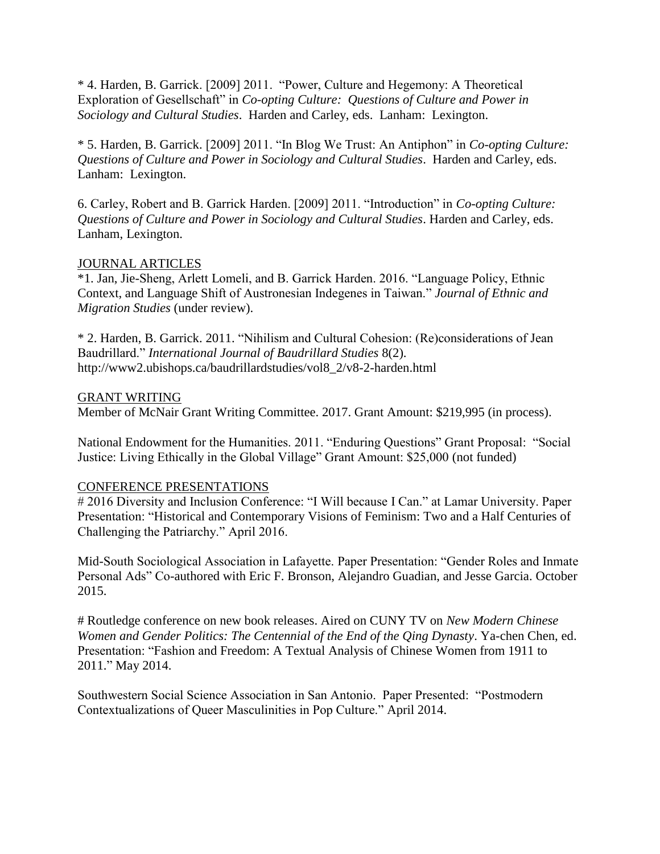\* 4. Harden, B. Garrick. [2009] 2011. "Power, Culture and Hegemony: A Theoretical Exploration of Gesellschaft" in *Co-opting Culture: Questions of Culture and Power in Sociology and Cultural Studies*. Harden and Carley, eds. Lanham: Lexington.

\* 5. Harden, B. Garrick. [2009] 2011. "In Blog We Trust: An Antiphon" in *Co-opting Culture: Questions of Culture and Power in Sociology and Cultural Studies*. Harden and Carley, eds. Lanham: Lexington.

6. Carley, Robert and B. Garrick Harden. [2009] 2011. "Introduction" in *Co-opting Culture: Questions of Culture and Power in Sociology and Cultural Studies*. Harden and Carley, eds. Lanham, Lexington.

#### JOURNAL ARTICLES

\*1. Jan, Jie-Sheng, Arlett Lomeli, and B. Garrick Harden. 2016. "Language Policy, Ethnic Context, and Language Shift of Austronesian Indegenes in Taiwan." *Journal of Ethnic and Migration Studies* (under review).

\* 2. Harden, B. Garrick. 2011. "Nihilism and Cultural Cohesion: (Re)considerations of Jean Baudrillard." *International Journal of Baudrillard Studies* 8(2). http://www2.ubishops.ca/baudrillardstudies/vol8\_2/v8-2-harden.html

#### GRANT WRITING

Member of McNair Grant Writing Committee. 2017. Grant Amount: \$219,995 (in process).

National Endowment for the Humanities. 2011. "Enduring Questions" Grant Proposal: "Social Justice: Living Ethically in the Global Village" Grant Amount: \$25,000 (not funded)

#### CONFERENCE PRESENTATIONS

# 2016 Diversity and Inclusion Conference: "I Will because I Can." at Lamar University. Paper Presentation: "Historical and Contemporary Visions of Feminism: Two and a Half Centuries of Challenging the Patriarchy." April 2016.

Mid-South Sociological Association in Lafayette. Paper Presentation: "Gender Roles and Inmate Personal Ads" Co-authored with Eric F. Bronson, Alejandro Guadian, and Jesse Garcia. October 2015.

# Routledge conference on new book releases. Aired on CUNY TV on *New Modern Chinese Women and Gender Politics: The Centennial of the End of the Qing Dynasty*. Ya-chen Chen, ed. Presentation: "Fashion and Freedom: A Textual Analysis of Chinese Women from 1911 to 2011." May 2014.

Southwestern Social Science Association in San Antonio. Paper Presented: "Postmodern Contextualizations of Queer Masculinities in Pop Culture." April 2014.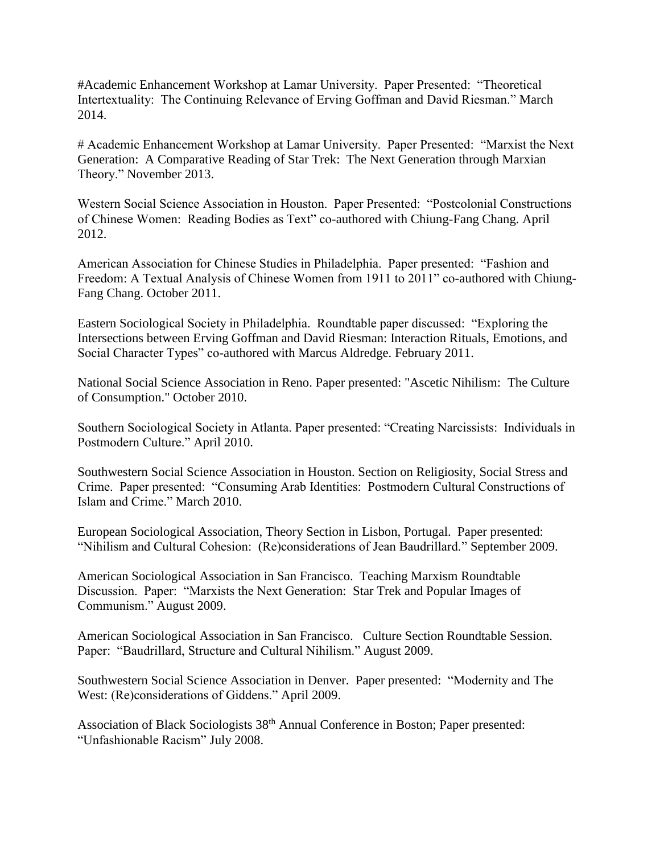#Academic Enhancement Workshop at Lamar University. Paper Presented: "Theoretical Intertextuality: The Continuing Relevance of Erving Goffman and David Riesman." March 2014.

# Academic Enhancement Workshop at Lamar University. Paper Presented: "Marxist the Next Generation: A Comparative Reading of Star Trek: The Next Generation through Marxian Theory." November 2013.

Western Social Science Association in Houston. Paper Presented: "Postcolonial Constructions of Chinese Women: Reading Bodies as Text" co-authored with Chiung-Fang Chang. April 2012.

American Association for Chinese Studies in Philadelphia. Paper presented: "Fashion and Freedom: A Textual Analysis of Chinese Women from 1911 to 2011" co-authored with Chiung-Fang Chang. October 2011.

Eastern Sociological Society in Philadelphia. Roundtable paper discussed: "Exploring the Intersections between Erving Goffman and David Riesman: Interaction Rituals, Emotions, and Social Character Types" co-authored with Marcus Aldredge. February 2011.

National Social Science Association in Reno. Paper presented: "Ascetic Nihilism: The Culture of Consumption." October 2010.

Southern Sociological Society in Atlanta. Paper presented: "Creating Narcissists: Individuals in Postmodern Culture." April 2010.

Southwestern Social Science Association in Houston. Section on Religiosity, Social Stress and Crime. Paper presented: "Consuming Arab Identities: Postmodern Cultural Constructions of Islam and Crime." March 2010.

European Sociological Association, Theory Section in Lisbon, Portugal. Paper presented: "Nihilism and Cultural Cohesion: (Re)considerations of Jean Baudrillard." September 2009.

American Sociological Association in San Francisco. Teaching Marxism Roundtable Discussion. Paper: "Marxists the Next Generation: Star Trek and Popular Images of Communism." August 2009.

American Sociological Association in San Francisco. Culture Section Roundtable Session. Paper: "Baudrillard, Structure and Cultural Nihilism." August 2009.

Southwestern Social Science Association in Denver. Paper presented: "Modernity and The West: (Re)considerations of Giddens." April 2009.

Association of Black Sociologists 38<sup>th</sup> Annual Conference in Boston; Paper presented: "Unfashionable Racism" July 2008.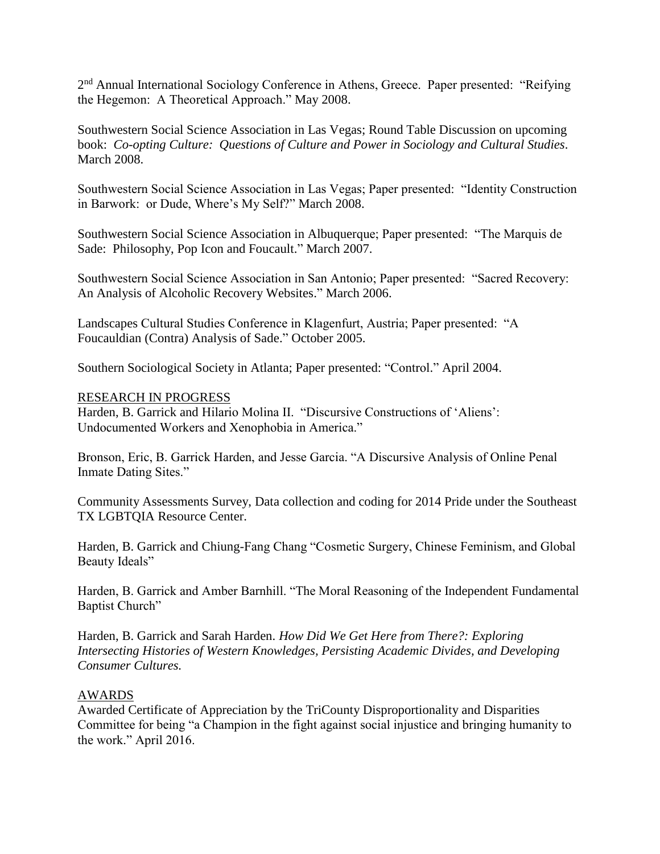2<sup>nd</sup> Annual International Sociology Conference in Athens, Greece. Paper presented: "Reifying the Hegemon: A Theoretical Approach." May 2008.

Southwestern Social Science Association in Las Vegas; Round Table Discussion on upcoming book: *Co-opting Culture: Questions of Culture and Power in Sociology and Cultural Studies*. March 2008.

Southwestern Social Science Association in Las Vegas; Paper presented: "Identity Construction in Barwork: or Dude, Where's My Self?" March 2008.

Southwestern Social Science Association in Albuquerque; Paper presented: "The Marquis de Sade: Philosophy, Pop Icon and Foucault." March 2007.

Southwestern Social Science Association in San Antonio; Paper presented: "Sacred Recovery: An Analysis of Alcoholic Recovery Websites." March 2006.

Landscapes Cultural Studies Conference in Klagenfurt, Austria; Paper presented: "A Foucauldian (Contra) Analysis of Sade." October 2005.

Southern Sociological Society in Atlanta; Paper presented: "Control." April 2004.

#### RESEARCH IN PROGRESS

Harden, B. Garrick and Hilario Molina II. "Discursive Constructions of 'Aliens': Undocumented Workers and Xenophobia in America."

Bronson, Eric, B. Garrick Harden, and Jesse Garcia. "A Discursive Analysis of Online Penal Inmate Dating Sites."

Community Assessments Survey, Data collection and coding for 2014 Pride under the Southeast TX LGBTQIA Resource Center.

Harden, B. Garrick and Chiung-Fang Chang "Cosmetic Surgery, Chinese Feminism, and Global Beauty Ideals"

Harden, B. Garrick and Amber Barnhill. "The Moral Reasoning of the Independent Fundamental Baptist Church"

Harden, B. Garrick and Sarah Harden. *How Did We Get Here from There?: Exploring Intersecting Histories of Western Knowledges, Persisting Academic Divides, and Developing Consumer Cultures.*

#### AWARDS

Awarded Certificate of Appreciation by the TriCounty Disproportionality and Disparities Committee for being "a Champion in the fight against social injustice and bringing humanity to the work." April 2016.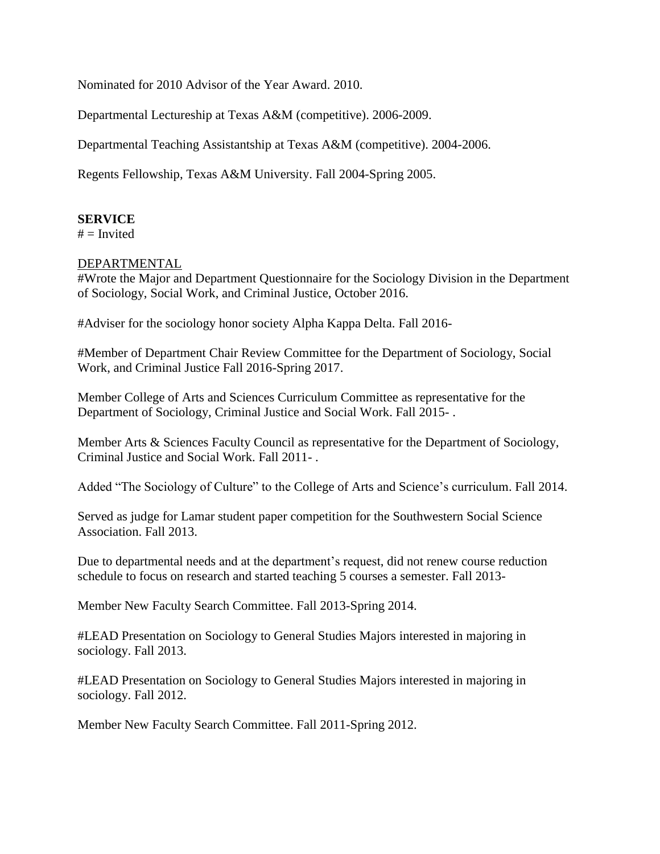Nominated for 2010 Advisor of the Year Award. 2010.

Departmental Lectureship at Texas A&M (competitive). 2006-2009.

Departmental Teaching Assistantship at Texas A&M (competitive). 2004-2006.

Regents Fellowship, Texas A&M University. Fall 2004-Spring 2005.

## **SERVICE**

 $#$  = Invited

#### DEPARTMENTAL

#Wrote the Major and Department Questionnaire for the Sociology Division in the Department of Sociology, Social Work, and Criminal Justice, October 2016.

#Adviser for the sociology honor society Alpha Kappa Delta. Fall 2016-

#Member of Department Chair Review Committee for the Department of Sociology, Social Work, and Criminal Justice Fall 2016-Spring 2017.

Member College of Arts and Sciences Curriculum Committee as representative for the Department of Sociology, Criminal Justice and Social Work. Fall 2015- .

Member Arts & Sciences Faculty Council as representative for the Department of Sociology, Criminal Justice and Social Work. Fall 2011- .

Added "The Sociology of Culture" to the College of Arts and Science's curriculum. Fall 2014.

Served as judge for Lamar student paper competition for the Southwestern Social Science Association. Fall 2013.

Due to departmental needs and at the department's request, did not renew course reduction schedule to focus on research and started teaching 5 courses a semester. Fall 2013-

Member New Faculty Search Committee. Fall 2013-Spring 2014.

#LEAD Presentation on Sociology to General Studies Majors interested in majoring in sociology. Fall 2013.

#LEAD Presentation on Sociology to General Studies Majors interested in majoring in sociology. Fall 2012.

Member New Faculty Search Committee. Fall 2011-Spring 2012.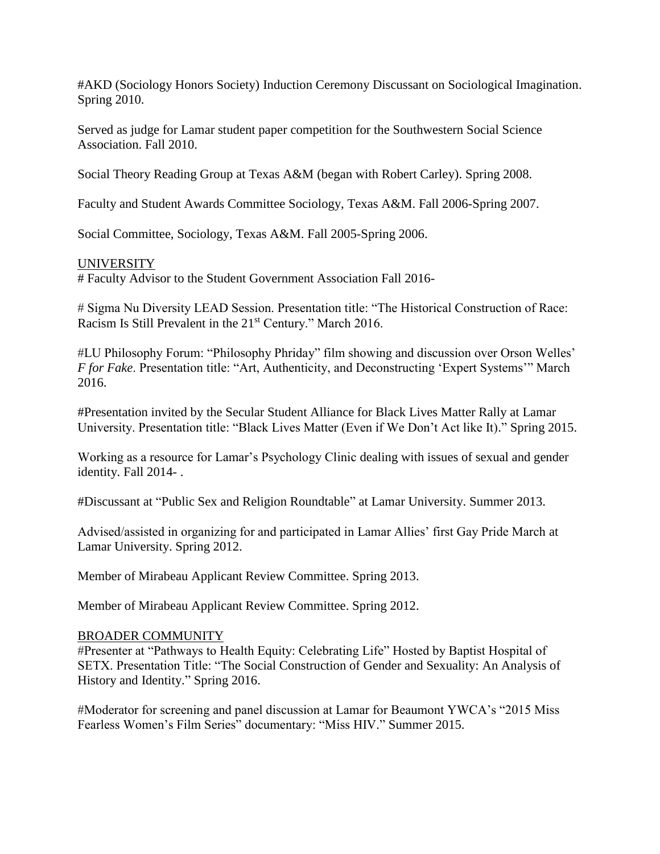#AKD (Sociology Honors Society) Induction Ceremony Discussant on Sociological Imagination. Spring 2010.

Served as judge for Lamar student paper competition for the Southwestern Social Science Association. Fall 2010.

Social Theory Reading Group at Texas A&M (began with Robert Carley). Spring 2008.

Faculty and Student Awards Committee Sociology, Texas A&M. Fall 2006-Spring 2007.

Social Committee, Sociology, Texas A&M. Fall 2005-Spring 2006.

#### UNIVERSITY

# Faculty Advisor to the Student Government Association Fall 2016-

# Sigma Nu Diversity LEAD Session. Presentation title: "The Historical Construction of Race: Racism Is Still Prevalent in the 21<sup>st</sup> Century." March 2016.

#LU Philosophy Forum: "Philosophy Phriday" film showing and discussion over Orson Welles' *F for Fake*. Presentation title: "Art, Authenticity, and Deconstructing 'Expert Systems'" March 2016.

#Presentation invited by the Secular Student Alliance for Black Lives Matter Rally at Lamar University. Presentation title: "Black Lives Matter (Even if We Don't Act like It)." Spring 2015.

Working as a resource for Lamar's Psychology Clinic dealing with issues of sexual and gender identity. Fall 2014- .

#Discussant at "Public Sex and Religion Roundtable" at Lamar University. Summer 2013.

Advised/assisted in organizing for and participated in Lamar Allies' first Gay Pride March at Lamar University. Spring 2012.

Member of Mirabeau Applicant Review Committee. Spring 2013.

Member of Mirabeau Applicant Review Committee. Spring 2012.

#### BROADER COMMUNITY

#Presenter at "Pathways to Health Equity: Celebrating Life" Hosted by Baptist Hospital of SETX. Presentation Title: "The Social Construction of Gender and Sexuality: An Analysis of History and Identity." Spring 2016.

#Moderator for screening and panel discussion at Lamar for Beaumont YWCA's "2015 Miss Fearless Women's Film Series" documentary: "Miss HIV." Summer 2015.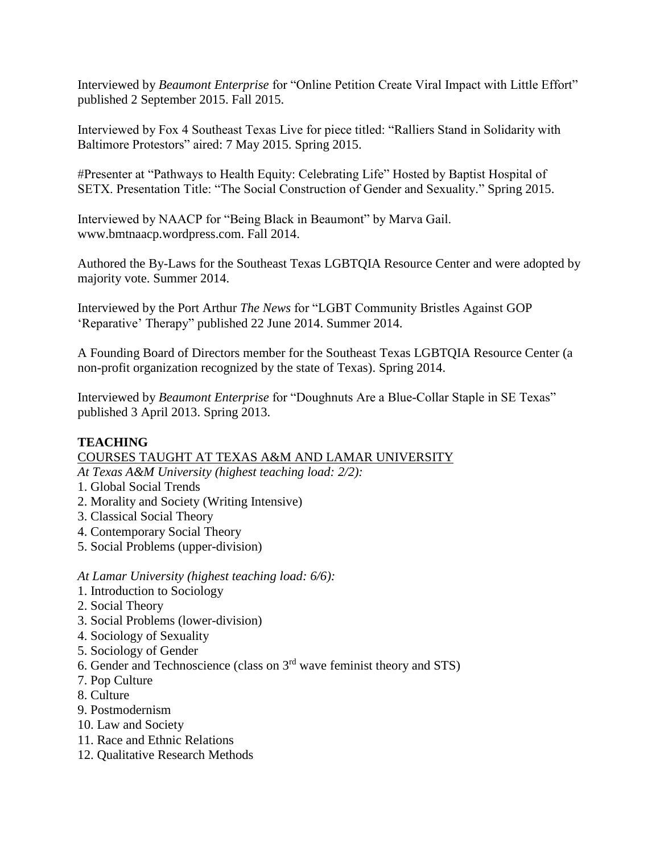Interviewed by *Beaumont Enterprise* for "Online Petition Create Viral Impact with Little Effort" published 2 September 2015. Fall 2015.

Interviewed by Fox 4 Southeast Texas Live for piece titled: "Ralliers Stand in Solidarity with Baltimore Protestors" aired: 7 May 2015. Spring 2015.

#Presenter at "Pathways to Health Equity: Celebrating Life" Hosted by Baptist Hospital of SETX. Presentation Title: "The Social Construction of Gender and Sexuality." Spring 2015.

Interviewed by NAACP for "Being Black in Beaumont" by Marva Gail. www.bmtnaacp.wordpress.com. Fall 2014.

Authored the By-Laws for the Southeast Texas LGBTQIA Resource Center and were adopted by majority vote. Summer 2014.

Interviewed by the Port Arthur *The News* for "LGBT Community Bristles Against GOP 'Reparative' Therapy" published 22 June 2014. Summer 2014.

A Founding Board of Directors member for the Southeast Texas LGBTQIA Resource Center (a non-profit organization recognized by the state of Texas). Spring 2014.

Interviewed by *Beaumont Enterprise* for "Doughnuts Are a Blue-Collar Staple in SE Texas" published 3 April 2013. Spring 2013.

# **TEACHING**

# COURSES TAUGHT AT TEXAS A&M AND LAMAR UNIVERSITY

- *At Texas A&M University (highest teaching load: 2/2):*
- 1. Global Social Trends
- 2. Morality and Society (Writing Intensive)
- 3. Classical Social Theory
- 4. Contemporary Social Theory
- 5. Social Problems (upper-division)

*At Lamar University (highest teaching load: 6/6):*

- 1. Introduction to Sociology
- 2. Social Theory
- 3. Social Problems (lower-division)
- 4. Sociology of Sexuality
- 5. Sociology of Gender
- 6. Gender and Technoscience (class on 3rd wave feminist theory and STS)
- 7. Pop Culture
- 8. Culture
- 9. Postmodernism
- 10. Law and Society
- 11. Race and Ethnic Relations
- 12. Qualitative Research Methods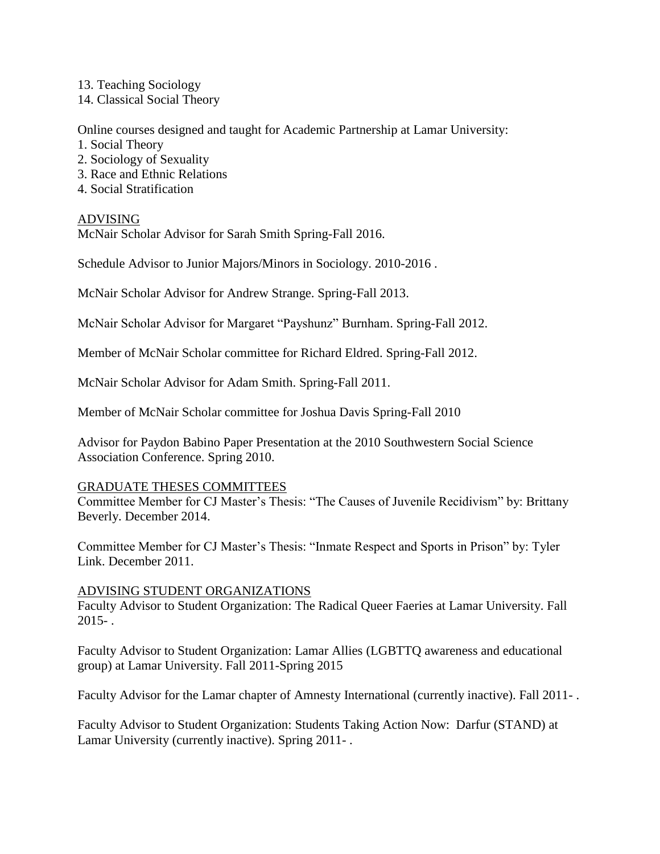13. Teaching Sociology

14. Classical Social Theory

Online courses designed and taught for Academic Partnership at Lamar University:

- 1. Social Theory
- 2. Sociology of Sexuality
- 3. Race and Ethnic Relations
- 4. Social Stratification

## ADVISING

McNair Scholar Advisor for Sarah Smith Spring-Fall 2016.

Schedule Advisor to Junior Majors/Minors in Sociology. 2010-2016 .

McNair Scholar Advisor for Andrew Strange. Spring-Fall 2013.

McNair Scholar Advisor for Margaret "Payshunz" Burnham. Spring-Fall 2012.

Member of McNair Scholar committee for Richard Eldred. Spring-Fall 2012.

McNair Scholar Advisor for Adam Smith. Spring-Fall 2011.

Member of McNair Scholar committee for Joshua Davis Spring-Fall 2010

Advisor for Paydon Babino Paper Presentation at the 2010 Southwestern Social Science Association Conference. Spring 2010.

#### GRADUATE THESES COMMITTEES

Committee Member for CJ Master's Thesis: "The Causes of Juvenile Recidivism" by: Brittany Beverly. December 2014.

Committee Member for CJ Master's Thesis: "Inmate Respect and Sports in Prison" by: Tyler Link. December 2011.

#### ADVISING STUDENT ORGANIZATIONS

Faculty Advisor to Student Organization: The Radical Queer Faeries at Lamar University. Fall  $2015 - .$ 

Faculty Advisor to Student Organization: Lamar Allies (LGBTTQ awareness and educational group) at Lamar University. Fall 2011-Spring 2015

Faculty Advisor for the Lamar chapter of Amnesty International (currently inactive). Fall 2011- .

Faculty Advisor to Student Organization: Students Taking Action Now: Darfur (STAND) at Lamar University (currently inactive). Spring 2011- .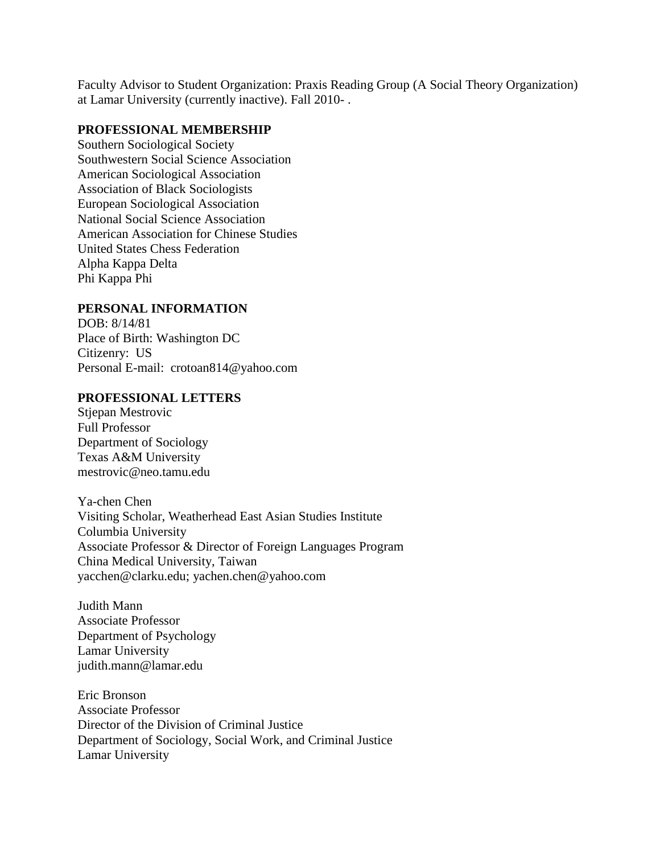Faculty Advisor to Student Organization: Praxis Reading Group (A Social Theory Organization) at Lamar University (currently inactive). Fall 2010- .

#### **PROFESSIONAL MEMBERSHIP**

Southern Sociological Society Southwestern Social Science Association American Sociological Association Association of Black Sociologists European Sociological Association National Social Science Association American Association for Chinese Studies United States Chess Federation Alpha Kappa Delta Phi Kappa Phi

## **PERSONAL INFORMATION**

DOB: 8/14/81 Place of Birth: Washington DC Citizenry: US Personal E-mail: crotoan814@yahoo.com

#### **PROFESSIONAL LETTERS**

Stjepan Mestrovic Full Professor Department of Sociology Texas A&M University mestrovic@neo.tamu.edu

Ya-chen Chen Visiting Scholar, Weatherhead East Asian Studies Institute Columbia University Associate Professor & Director of Foreign Languages Program China Medical University, Taiwan yacchen@clarku.edu; yachen.chen@yahoo.com

Judith Mann Associate Professor Department of Psychology Lamar University judith.mann@lamar.edu

Eric Bronson Associate Professor Director of the Division of Criminal Justice Department of Sociology, Social Work, and Criminal Justice Lamar University